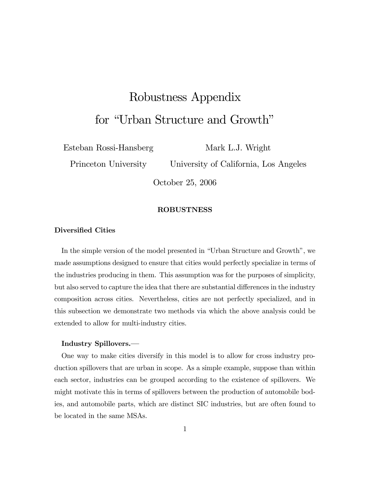# Robustness Appendix for "Urban Structure and Growth"

Esteban Rossi-Hansberg

Mark L.J. Wright

Princeton University

University of California, Los Angeles

October 25, 2006

## ROBUSTNESS

### Diversified Cities

In the simple version of the model presented in "Urban Structure and Growth", we made assumptions designed to ensure that cities would perfectly specialize in terms of the industries producing in them. This assumption was for the purposes of simplicity, but also served to capture the idea that there are substantial differences in the industry composition across cities. Nevertheless, cities are not perfectly specialized, and in this subsection we demonstrate two methods via which the above analysis could be extended to allow for multi-industry cities.

#### Industry Spillovers.—

One way to make cities diversify in this model is to allow for cross industry production spillovers that are urban in scope. As a simple example, suppose than within each sector, industries can be grouped according to the existence of spillovers. We might motivate this in terms of spillovers between the production of automobile bodies, and automobile parts, which are distinct SIC industries, but are often found to be located in the same MSAs.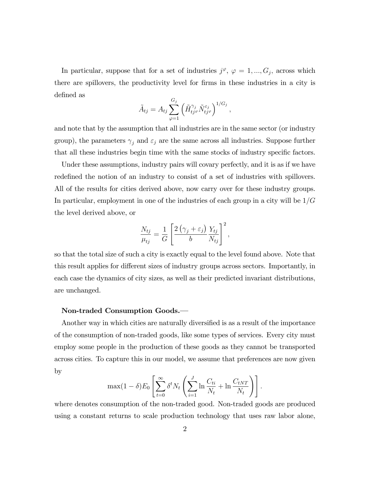In particular, suppose that for a set of industries  $j^{\varphi}, \varphi = 1, ..., G_j$ , across which there are spillovers, the productivity level for firms in these industries in a city is defined as

$$
\tilde{A}_{tj} = A_{tj} \sum_{\varphi=1}^{G_j} \left( \tilde{H}_{tj^{\varphi}}^{\gamma_j} \tilde{N}_{tj^{\varphi}}^{\varepsilon_j} \right)^{1/G_j},
$$

and note that by the assumption that all industries are in the same sector (or industry group), the parameters  $\gamma_j$  and  $\varepsilon_j$  are the same across all industries. Suppose further that all these industries begin time with the same stocks of industry specific factors.

Under these assumptions, industry pairs will covary perfectly, and it is as if we have redefined the notion of an industry to consist of a set of industries with spillovers. All of the results for cities derived above, now carry over for these industry groups. In particular, employment in one of the industries of each group in a city will be  $1/G$ the level derived above, or

$$
\frac{N_{tj}}{\mu_{tj}} = \frac{1}{G} \left[ \frac{2(\gamma_j + \varepsilon_j)}{b} \frac{Y_{tj}}{N_{tj}} \right]^2,
$$

so that the total size of such a city is exactly equal to the level found above. Note that this result applies for different sizes of industry groups across sectors. Importantly, in each case the dynamics of city sizes, as well as their predicted invariant distributions, are unchanged.

# Non-traded Consumption Goods.-

Another way in which cities are naturally diversified is as a result of the importance of the consumption of non-traded goods, like some types of services. Every city must employ some people in the production of these goods as they cannot be transported across cities. To capture this in our model, we assume that preferences are now given by

$$
\max(1-\delta)E_0\left[\sum_{t=0}^{\infty}\delta^t N_t\left(\sum_{i=1}^J \ln\frac{C_{ti}}{N_t} + \ln\frac{C_{tNT}}{N_t}\right)\right].
$$

where denotes consumption of the non-traded good. Non-traded goods are produced using a constant returns to scale production technology that uses raw labor alone,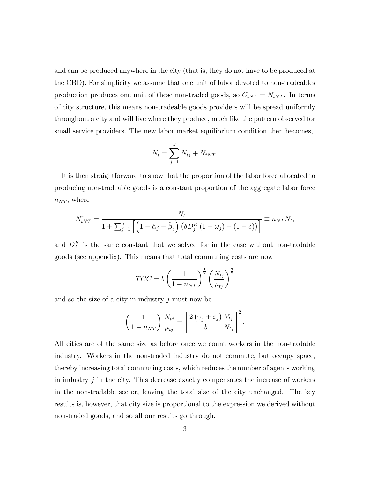and can be produced anywhere in the city (that is, they do not have to be produced at the CBD). For simplicity we assume that one unit of labor devoted to non-tradeables production produces one unit of these non-traded goods, so  $C_{tNT} = N_{tNT}$ . In terms of city structure, this means non-tradeable goods providers will be spread uniformly throughout a city and will live where they produce, much like the pattern observed for small service providers. The new labor market equilibrium condition then becomes,

$$
N_t = \sum_{j=1}^{J} N_{tj} + N_{tNT}.
$$

It is then straightforward to show that the proportion of the labor force allocated to producing non-tradeable goods is a constant proportion of the aggregate labor force  $n_{NT}$ , where

$$
N_{tNT}^* = \frac{N_t}{1 + \sum_{j=1}^J \left[ \left( 1 - \hat{\alpha}_j - \hat{\beta}_j \right) \left( \delta D_j^K \left( 1 - \omega_j \right) + (1 - \delta) \right) \right]} \equiv n_{NT} N_t,
$$

and  $D_j^K$  is the same constant that we solved for in the case without non-tradable goods (see appendix). This means that total commuting costs are now

$$
TCC = b \left(\frac{1}{1 - n_{NT}}\right)^{\frac{1}{2}} \left(\frac{N_{tj}}{\mu_{tj}}\right)^{\frac{3}{2}}
$$

and so the size of a city in industry  $j$  must now be

$$
\left(\frac{1}{1-n_{NT}}\right)\frac{N_{tj}}{\mu_{tj}} = \left[\frac{2\left(\gamma_j + \varepsilon_j\right)}{b}\frac{Y_{tj}}{N_{tj}}\right]^2.
$$

All cities are of the same size as before once we count workers in the non-tradable industry. Workers in the non-traded industry do not commute, but occupy space, thereby increasing total commuting costs, which reduces the number of agents working in industry  $j$  in the city. This decrease exactly compensates the increase of workers in the non-tradable sector, leaving the total size of the city unchanged. The key results is, however, that city size is proportional to the expression we derived without non-traded goods, and so all our results go through.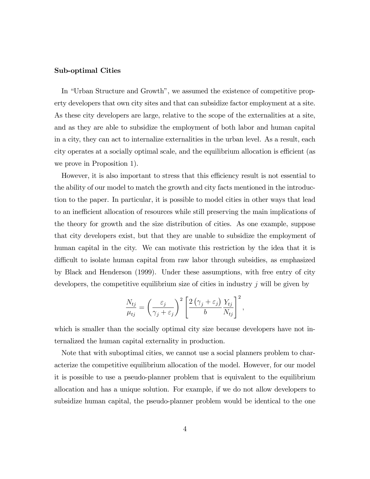#### Sub-optimal Cities

In "Urban Structure and Growth", we assumed the existence of competitive property developers that own city sites and that can subsidize factor employment at a site. As these city developers are large, relative to the scope of the externalities at a site, and as they are able to subsidize the employment of both labor and human capital in a city, they can act to internalize externalities in the urban level. As a result, each city operates at a socially optimal scale, and the equilibrium allocation is efficient (as we prove in Proposition 1).

However, it is also important to stress that this efficiency result is not essential to the ability of our model to match the growth and city facts mentioned in the introduction to the paper. In particular, it is possible to model cities in other ways that lead to an inefficient allocation of resources while still preserving the main implications of the theory for growth and the size distribution of cities. As one example, suppose that city developers exist, but that they are unable to subsidize the employment of human capital in the city. We can motivate this restriction by the idea that it is difficult to isolate human capital from raw labor through subsidies, as emphasized by Black and Henderson (1999). Under these assumptions, with free entry of city developers, the competitive equilibrium size of cities in industry  $j$  will be given by

$$
\frac{N_{tj}}{\mu_{tj}} = \left(\frac{\varepsilon_j}{\gamma_j + \varepsilon_j}\right)^2 \left[\frac{2(\gamma_j + \varepsilon_j)}{b} \frac{Y_{tj}}{N_{tj}}\right]^2,
$$

which is smaller than the socially optimal city size because developers have not internalized the human capital externality in production.

Note that with suboptimal cities, we cannot use a social planners problem to characterize the competitive equilibrium allocation of the model. However, for our model it is possible to use a pseudo-planner problem that is equivalent to the equilibrium allocation and has a unique solution. For example, if we do not allow developers to subsidize human capital, the pseudo-planner problem would be identical to the one